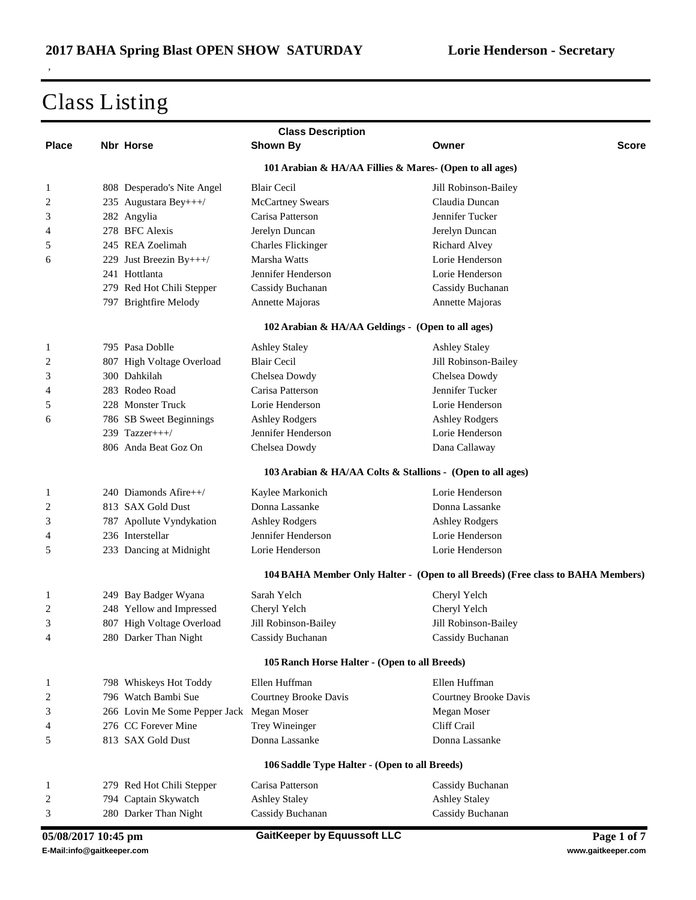|                     |                                                         |                               | <b>Class Description</b>                                   |                                                                                 |  |  |
|---------------------|---------------------------------------------------------|-------------------------------|------------------------------------------------------------|---------------------------------------------------------------------------------|--|--|
| <b>Place</b>        |                                                         | <b>Nbr Horse</b>              | <b>Shown By</b>                                            | Owner<br>Score                                                                  |  |  |
|                     | 101 Arabian & HA/AA Fillies & Mares- (Open to all ages) |                               |                                                            |                                                                                 |  |  |
| 1                   |                                                         | 808 Desperado's Nite Angel    | <b>Blair Cecil</b>                                         | Jill Robinson-Bailey                                                            |  |  |
| 2                   |                                                         | 235 Augustara Bey+++/         | <b>McCartney Swears</b>                                    | Claudia Duncan                                                                  |  |  |
| 3                   |                                                         | 282 Angylia                   | Carisa Patterson                                           | Jennifer Tucker                                                                 |  |  |
| 4                   |                                                         | 278 BFC Alexis                | Jerelyn Duncan                                             | Jerelyn Duncan                                                                  |  |  |
| 5                   |                                                         | 245 REA Zoelimah              | <b>Charles Flickinger</b>                                  | Richard Alvey                                                                   |  |  |
| 6                   |                                                         | 229 Just Breezin By+++/       | Marsha Watts                                               | Lorie Henderson                                                                 |  |  |
|                     |                                                         | 241 Hottlanta                 | Jennifer Henderson                                         | Lorie Henderson                                                                 |  |  |
|                     |                                                         | 279 Red Hot Chili Stepper     | Cassidy Buchanan                                           | Cassidy Buchanan                                                                |  |  |
|                     |                                                         | 797 Brightfire Melody         | Annette Majoras                                            | Annette Majoras                                                                 |  |  |
|                     |                                                         |                               | 102 Arabian & HA/AA Geldings - (Open to all ages)          |                                                                                 |  |  |
| 1                   |                                                         | 795 Pasa Doblle               | <b>Ashley Staley</b>                                       | <b>Ashley Staley</b>                                                            |  |  |
| 2                   |                                                         | 807 High Voltage Overload     | <b>Blair Cecil</b>                                         | Jill Robinson-Bailey                                                            |  |  |
| 3                   |                                                         | 300 Dahkilah                  | Chelsea Dowdy                                              | Chelsea Dowdy                                                                   |  |  |
| 4                   |                                                         | 283 Rodeo Road                | Carisa Patterson                                           | Jennifer Tucker                                                                 |  |  |
| 5                   |                                                         | 228 Monster Truck             | Lorie Henderson                                            | Lorie Henderson                                                                 |  |  |
| 6                   |                                                         | 786 SB Sweet Beginnings       | <b>Ashley Rodgers</b>                                      | <b>Ashley Rodgers</b>                                                           |  |  |
|                     |                                                         | 239 Tazzer+++/                | Jennifer Henderson                                         | Lorie Henderson                                                                 |  |  |
|                     |                                                         | 806 Anda Beat Goz On          | Chelsea Dowdy                                              | Dana Callaway                                                                   |  |  |
|                     |                                                         |                               | 103 Arabian & HA/AA Colts & Stallions - (Open to all ages) |                                                                                 |  |  |
|                     |                                                         |                               |                                                            |                                                                                 |  |  |
| 1                   |                                                         | 240 Diamonds Afire++/         | Kaylee Markonich                                           | Lorie Henderson                                                                 |  |  |
| 2                   |                                                         | 813 SAX Gold Dust             | Donna Lassanke                                             | Donna Lassanke                                                                  |  |  |
| 3                   |                                                         | 787 Apollute Vyndykation      | <b>Ashley Rodgers</b>                                      | <b>Ashley Rodgers</b>                                                           |  |  |
| 4                   |                                                         | 236 Interstellar              | Jennifer Henderson                                         | Lorie Henderson                                                                 |  |  |
| 5                   |                                                         | 233 Dancing at Midnight       | Lorie Henderson                                            | Lorie Henderson                                                                 |  |  |
|                     |                                                         |                               |                                                            | 104 BAHA Member Only Halter - (Open to all Breeds) (Free class to BAHA Members) |  |  |
| 1                   |                                                         | 249 Bay Badger Wyana          | Sarah Yelch                                                | Cheryl Yelch                                                                    |  |  |
| 2                   |                                                         | 248 Yellow and Impressed      | Cheryl Yelch                                               | Cheryl Yelch                                                                    |  |  |
| 3                   |                                                         | 807 High Voltage Overload     | Jill Robinson-Bailey                                       | Jill Robinson-Bailey                                                            |  |  |
| 4                   |                                                         | 280 Darker Than Night         | Cassidy Buchanan                                           | Cassidy Buchanan                                                                |  |  |
|                     |                                                         |                               | 105 Ranch Horse Halter - (Open to all Breeds)              |                                                                                 |  |  |
| 1                   |                                                         | 798 Whiskeys Hot Toddy        | Ellen Huffman                                              | Ellen Huffman                                                                   |  |  |
| 2                   |                                                         | 796 Watch Bambi Sue           | <b>Courtney Brooke Davis</b>                               | Courtney Brooke Davis                                                           |  |  |
| 3                   |                                                         | 266 Lovin Me Some Pepper Jack | Megan Moser                                                | Megan Moser                                                                     |  |  |
| 4                   |                                                         | 276 CC Forever Mine           | Trey Wineinger                                             | Cliff Crail                                                                     |  |  |
| 5                   |                                                         | 813 SAX Gold Dust             | Donna Lassanke                                             | Donna Lassanke                                                                  |  |  |
|                     |                                                         |                               | 106 Saddle Type Halter - (Open to all Breeds)              |                                                                                 |  |  |
| 1                   |                                                         | 279 Red Hot Chili Stepper     | Carisa Patterson                                           | Cassidy Buchanan                                                                |  |  |
| 2                   |                                                         | 794 Captain Skywatch          | <b>Ashley Staley</b>                                       | <b>Ashley Staley</b>                                                            |  |  |
| 3                   |                                                         | 280 Darker Than Night         | Cassidy Buchanan                                           | Cassidy Buchanan                                                                |  |  |
| 05/08/2017 10:45 pm |                                                         |                               | <b>GaitKeeper by Equussoft LLC</b>                         | Page 1 of 7                                                                     |  |  |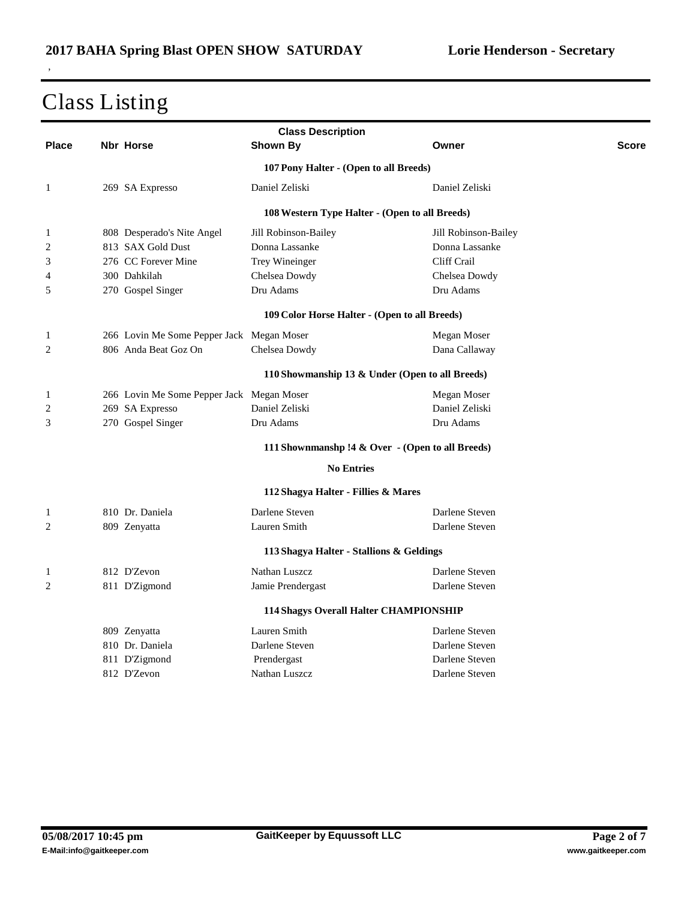|                | <b>Class Description</b> |                                           |                                                |                                                        |       |  |
|----------------|--------------------------|-------------------------------------------|------------------------------------------------|--------------------------------------------------------|-------|--|
| <b>Place</b>   |                          | <b>Nbr Horse</b>                          | <b>Shown By</b>                                | Owner                                                  | Score |  |
|                |                          |                                           | 107 Pony Halter - (Open to all Breeds)         |                                                        |       |  |
| 1              |                          | 269 SA Expresso                           | Daniel Zeliski                                 | Daniel Zeliski                                         |       |  |
|                |                          |                                           | 108 Western Type Halter - (Open to all Breeds) |                                                        |       |  |
| 1              |                          | 808 Desperado's Nite Angel                | Jill Robinson-Bailey                           | Jill Robinson-Bailey                                   |       |  |
| 2              |                          | 813 SAX Gold Dust                         | Donna Lassanke                                 | Donna Lassanke                                         |       |  |
| 3              |                          | 276 CC Forever Mine                       | Trey Wineinger                                 | Cliff Crail                                            |       |  |
| 4              |                          | 300 Dahkilah                              | Chelsea Dowdy                                  | Chelsea Dowdy                                          |       |  |
| 5              |                          | 270 Gospel Singer                         | Dru Adams                                      | Dru Adams                                              |       |  |
|                |                          |                                           | 109 Color Horse Halter - (Open to all Breeds)  |                                                        |       |  |
| 1              |                          | 266 Lovin Me Some Pepper Jack Megan Moser |                                                | Megan Moser                                            |       |  |
| 2              |                          | 806 Anda Beat Goz On                      | Chelsea Dowdy                                  | Dana Callaway                                          |       |  |
|                |                          |                                           |                                                | 110 Showmanship 13 & Under (Open to all Breeds)        |       |  |
| 1              |                          | 266 Lovin Me Some Pepper Jack Megan Moser |                                                | Megan Moser                                            |       |  |
| 2              |                          | 269 SA Expresso                           | Daniel Zeliski                                 | Daniel Zeliski                                         |       |  |
| 3              |                          | 270 Gospel Singer                         | Dru Adams                                      | Dru Adams                                              |       |  |
|                |                          |                                           |                                                | 111 Shownmanshp !4 & Over $\cdot$ (Open to all Breeds) |       |  |
|                |                          |                                           | <b>No Entries</b>                              |                                                        |       |  |
|                |                          |                                           | 112 Shagya Halter - Fillies & Mares            |                                                        |       |  |
| $\mathbf{1}$   |                          | 810 Dr. Daniela                           | Darlene Steven                                 | Darlene Steven                                         |       |  |
| 2              |                          | 809 Zenyatta                              | Lauren Smith                                   | Darlene Steven                                         |       |  |
|                |                          |                                           | 113 Shagya Halter - Stallions & Geldings       |                                                        |       |  |
| 1              |                          | 812 D'Zevon                               | Nathan Luszcz                                  | Darlene Steven                                         |       |  |
| $\overline{c}$ |                          | 811 D'Zigmond                             | Jamie Prendergast                              | Darlene Steven                                         |       |  |
|                |                          |                                           | 114 Shagys Overall Halter CHAMPIONSHIP         |                                                        |       |  |
|                |                          | 809 Zenyatta                              | Lauren Smith                                   | Darlene Steven                                         |       |  |
|                |                          | 810 Dr. Daniela                           | Darlene Steven                                 | Darlene Steven                                         |       |  |
|                |                          | 811 D'Zigmond                             | Prendergast                                    | Darlene Steven                                         |       |  |
|                |                          | 812 D'Zevon                               | Nathan Luszcz                                  | Darlene Steven                                         |       |  |
|                |                          |                                           |                                                |                                                        |       |  |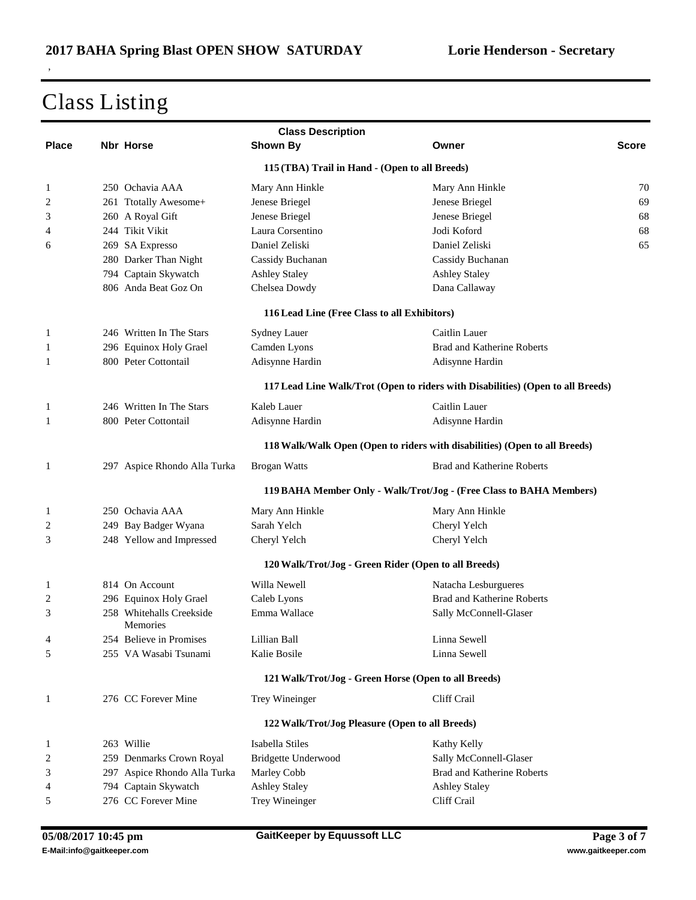|              | <b>Class Description</b> |                                      |                                              |                                                                                 |       |  |
|--------------|--------------------------|--------------------------------------|----------------------------------------------|---------------------------------------------------------------------------------|-------|--|
| <b>Place</b> |                          | <b>Nbr Horse</b>                     | Shown By                                     | Owner                                                                           | Score |  |
|              |                          |                                      |                                              | 115 (TBA) Trail in Hand - (Open to all Breeds)                                  |       |  |
| 1            |                          | 250 Ochavia AAA                      | Mary Ann Hinkle                              | Mary Ann Hinkle                                                                 | 70    |  |
| 2            |                          | 261 Ttotally Awesome+                | Jenese Briegel                               | Jenese Briegel                                                                  | 69    |  |
| 3            |                          | 260 A Royal Gift                     | Jenese Briegel                               | Jenese Briegel                                                                  | 68    |  |
| 4            |                          | 244 Tikit Vikit                      | Laura Corsentino                             | Jodi Koford                                                                     | 68    |  |
| 6            |                          | 269 SA Expresso                      | Daniel Zeliski                               | Daniel Zeliski                                                                  | 65    |  |
|              |                          | 280 Darker Than Night                | Cassidy Buchanan                             | Cassidy Buchanan                                                                |       |  |
|              |                          | 794 Captain Skywatch                 | <b>Ashley Staley</b>                         | <b>Ashley Staley</b>                                                            |       |  |
|              |                          | 806 Anda Beat Goz On                 | Chelsea Dowdy                                | Dana Callaway                                                                   |       |  |
|              |                          |                                      | 116 Lead Line (Free Class to all Exhibitors) |                                                                                 |       |  |
| 1            |                          | 246 Written In The Stars             | Sydney Lauer                                 | Caitlin Lauer                                                                   |       |  |
| 1            |                          | 296 Equinox Holy Grael               | Camden Lyons                                 | Brad and Katherine Roberts                                                      |       |  |
| 1            |                          | 800 Peter Cottontail                 | Adisynne Hardin                              | Adisynne Hardin                                                                 |       |  |
|              |                          |                                      |                                              | 117 Lead Line Walk/Trot (Open to riders with Disabilities) (Open to all Breeds) |       |  |
| 1            |                          | 246 Written In The Stars             | Kaleb Lauer                                  | Caitlin Lauer                                                                   |       |  |
| 1            |                          | 800 Peter Cottontail                 | Adisynne Hardin                              | Adisynne Hardin                                                                 |       |  |
|              |                          |                                      |                                              | 118 Walk/Walk Open (Open to riders with disabilities) (Open to all Breeds)      |       |  |
| 1            |                          | 297 Aspice Rhondo Alla Turka         | <b>Brogan Watts</b>                          | <b>Brad and Katherine Roberts</b>                                               |       |  |
|              |                          |                                      |                                              | 119 BAHA Member Only - Walk/Trot/Jog - (Free Class to BAHA Members)             |       |  |
| 1            |                          | 250 Ochavia AAA                      | Mary Ann Hinkle                              | Mary Ann Hinkle                                                                 |       |  |
| 2            |                          | 249 Bay Badger Wyana                 | Sarah Yelch                                  | Cheryl Yelch                                                                    |       |  |
| 3            |                          | 248 Yellow and Impressed             | Cheryl Yelch                                 | Cheryl Yelch                                                                    |       |  |
|              |                          |                                      |                                              | 120 Walk/Trot/Jog - Green Rider (Open to all Breeds)                            |       |  |
| 1            |                          | 814 On Account                       | Willa Newell                                 | Natacha Lesburgueres                                                            |       |  |
| 2            |                          | 296 Equinox Holy Grael               | Caleb Lyons                                  | Brad and Katherine Roberts                                                      |       |  |
| 3            |                          | 258 Whitehalls Creekside<br>Memories | Emma Wallace                                 | Sally McConnell-Glaser                                                          |       |  |
| 4            |                          | 254 Believe in Promises              | Lillian Ball                                 | Linna Sewell                                                                    |       |  |
| 5            |                          | 255 VA Wasabi Tsunami                | Kalie Bosile                                 | Linna Sewell                                                                    |       |  |
|              |                          |                                      |                                              | 121 Walk/Trot/Jog - Green Horse (Open to all Breeds)                            |       |  |
| 1            |                          | 276 CC Forever Mine                  | Trey Wineinger                               | Cliff Crail                                                                     |       |  |
|              |                          |                                      |                                              | 122 Walk/Trot/Jog Pleasure (Open to all Breeds)                                 |       |  |
| 1            |                          | 263 Willie                           | Isabella Stiles                              | Kathy Kelly                                                                     |       |  |
| 2            |                          | 259 Denmarks Crown Royal             | Bridgette Underwood                          | Sally McConnell-Glaser                                                          |       |  |
| 3            |                          | 297 Aspice Rhondo Alla Turka         | Marley Cobb                                  | <b>Brad and Katherine Roberts</b>                                               |       |  |
| 4            |                          | 794 Captain Skywatch                 | <b>Ashley Staley</b>                         | <b>Ashley Staley</b>                                                            |       |  |
| 5            |                          | 276 CC Forever Mine                  | Trey Wineinger                               | Cliff Crail                                                                     |       |  |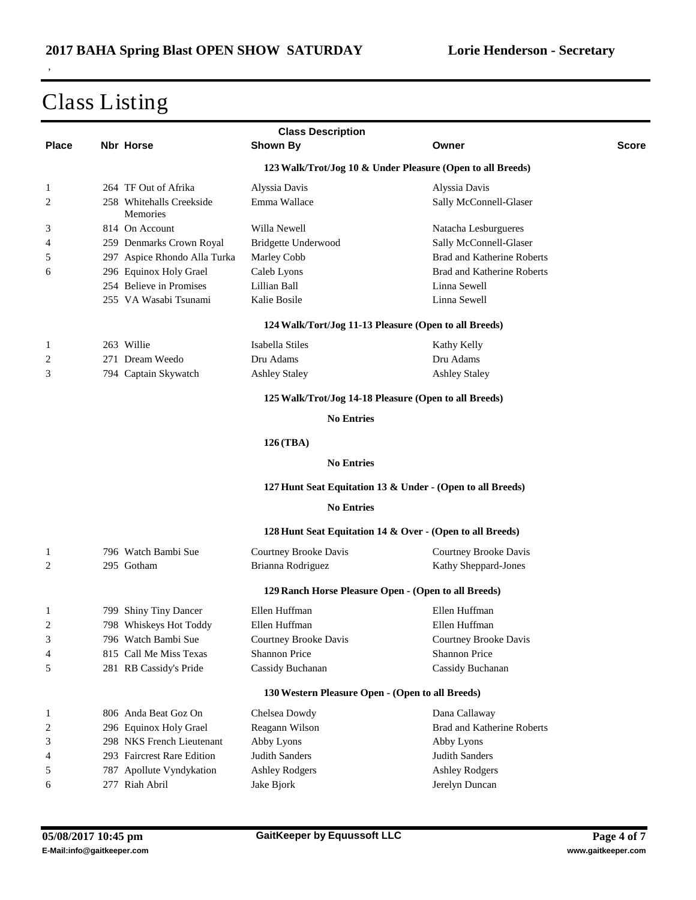|              | <b>Class Description</b> |                                             |                                                            |                                   |              |  |
|--------------|--------------------------|---------------------------------------------|------------------------------------------------------------|-----------------------------------|--------------|--|
| <b>Place</b> |                          | Nbr Horse                                   | <b>Shown By</b>                                            | Owner                             | <b>Score</b> |  |
|              |                          |                                             | 123 Walk/Trot/Jog 10 & Under Pleasure (Open to all Breeds) |                                   |              |  |
| 1            |                          | 264 TF Out of Afrika                        | Alyssia Davis                                              | Alyssia Davis                     |              |  |
| 2            |                          | 258 Whitehalls Creekside<br><b>Memories</b> | Emma Wallace                                               | Sally McConnell-Glaser            |              |  |
| 3            |                          | 814 On Account                              | Willa Newell                                               | Natacha Lesburgueres              |              |  |
| 4            |                          | 259 Denmarks Crown Royal                    | Bridgette Underwood                                        | Sally McConnell-Glaser            |              |  |
| 5            |                          | 297 Aspice Rhondo Alla Turka                | Marley Cobb                                                | Brad and Katherine Roberts        |              |  |
| 6            |                          | 296 Equinox Holy Grael                      | Caleb Lyons                                                | <b>Brad and Katherine Roberts</b> |              |  |
|              |                          | 254 Believe in Promises                     | Lillian Ball                                               | Linna Sewell                      |              |  |
|              |                          | 255 VA Wasabi Tsunami                       | Kalie Bosile                                               | Linna Sewell                      |              |  |
|              |                          |                                             | 124 Walk/Tort/Jog 11-13 Pleasure (Open to all Breeds)      |                                   |              |  |
| 1            |                          | 263 Willie                                  | Isabella Stiles                                            | Kathy Kelly                       |              |  |
| 2            |                          | 271 Dream Weedo                             | Dru Adams                                                  | Dru Adams                         |              |  |
| 3            |                          | 794 Captain Skywatch                        | <b>Ashley Staley</b>                                       | <b>Ashley Staley</b>              |              |  |
|              |                          |                                             | 125 Walk/Trot/Jog 14-18 Pleasure (Open to all Breeds)      |                                   |              |  |
|              |                          |                                             | <b>No Entries</b>                                          |                                   |              |  |
|              |                          |                                             | 126 (TBA)                                                  |                                   |              |  |
|              |                          |                                             | <b>No Entries</b>                                          |                                   |              |  |
|              |                          |                                             | 127 Hunt Seat Equitation 13 & Under - (Open to all Breeds) |                                   |              |  |
|              |                          |                                             | <b>No Entries</b>                                          |                                   |              |  |
|              |                          |                                             | 128 Hunt Seat Equitation 14 & Over - (Open to all Breeds)  |                                   |              |  |
| 1            |                          | 796 Watch Bambi Sue                         | Courtney Brooke Davis                                      | Courtney Brooke Davis             |              |  |
| 2            |                          | 295 Gotham                                  | Brianna Rodriguez                                          | Kathy Sheppard-Jones              |              |  |
|              |                          |                                             | 129 Ranch Horse Pleasure Open - (Open to all Breeds)       |                                   |              |  |
| 1            |                          | 799 Shiny Tiny Dancer                       | Ellen Huffman                                              | Ellen Huffman                     |              |  |
| 2            |                          | 798 Whiskeys Hot Toddy                      | Ellen Huffman                                              | Ellen Huffman                     |              |  |
| 3            |                          | 796 Watch Bambi Sue                         | Courtney Brooke Davis                                      | Courtney Brooke Davis             |              |  |
| 4            |                          | 815 Call Me Miss Texas                      | <b>Shannon Price</b>                                       | Shannon Price                     |              |  |
| 5            |                          | 281 RB Cassidy's Pride                      | Cassidy Buchanan                                           | Cassidy Buchanan                  |              |  |
|              |                          |                                             | 130 Western Pleasure Open - (Open to all Breeds)           |                                   |              |  |
| 1            |                          | 806 Anda Beat Goz On                        | Chelsea Dowdy                                              | Dana Callaway                     |              |  |
| 2            |                          | 296 Equinox Holy Grael                      | Reagann Wilson                                             | Brad and Katherine Roberts        |              |  |
| 3            |                          | 298 NKS French Lieutenant                   | Abby Lyons                                                 | Abby Lyons                        |              |  |
| 4            |                          | 293 Faircrest Rare Edition                  | Judith Sanders                                             | Judith Sanders                    |              |  |
| 5            |                          | 787 Apollute Vyndykation                    | <b>Ashley Rodgers</b>                                      | <b>Ashley Rodgers</b>             |              |  |
| 6            |                          | 277 Riah Abril                              | Jake Bjork                                                 | Jerelyn Duncan                    |              |  |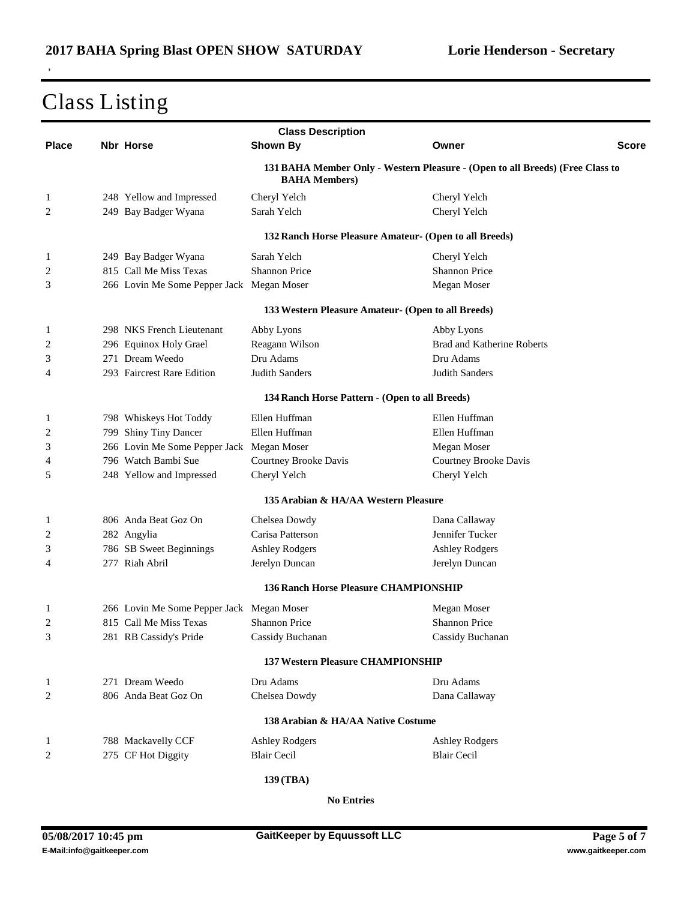,

|              |                                           | <b>Class Description</b>                       |                                                                               |              |
|--------------|-------------------------------------------|------------------------------------------------|-------------------------------------------------------------------------------|--------------|
| <b>Place</b> | <b>Nbr Horse</b>                          | <b>Shown By</b>                                | Owner                                                                         | <b>Score</b> |
|              |                                           | <b>BAHA Members</b> )                          | 131 BAHA Member Only - Western Pleasure - (Open to all Breeds) (Free Class to |              |
| 1            | 248 Yellow and Impressed                  | Cheryl Yelch                                   | Cheryl Yelch                                                                  |              |
| 2            | 249 Bay Badger Wyana                      | Sarah Yelch                                    | Cheryl Yelch                                                                  |              |
|              |                                           |                                                | 132 Ranch Horse Pleasure Amateur- (Open to all Breeds)                        |              |
| $\mathbf{1}$ | 249 Bay Badger Wyana                      | Sarah Yelch                                    | Cheryl Yelch                                                                  |              |
| 2            | 815 Call Me Miss Texas                    | <b>Shannon Price</b>                           | <b>Shannon Price</b>                                                          |              |
| 3            | 266 Lovin Me Some Pepper Jack Megan Moser |                                                | Megan Moser                                                                   |              |
|              |                                           |                                                | 133 Western Pleasure Amateur- (Open to all Breeds)                            |              |
| 1            | 298 NKS French Lieutenant                 | Abby Lyons                                     | Abby Lyons                                                                    |              |
| 2            | 296 Equinox Holy Grael                    | Reagann Wilson                                 | Brad and Katherine Roberts                                                    |              |
| 3            | 271 Dream Weedo                           | Dru Adams                                      | Dru Adams                                                                     |              |
| 4            | 293 Faircrest Rare Edition                | Judith Sanders                                 | <b>Judith Sanders</b>                                                         |              |
|              |                                           | 134 Ranch Horse Pattern - (Open to all Breeds) |                                                                               |              |
| 1            | 798 Whiskeys Hot Toddy                    | Ellen Huffman                                  | Ellen Huffman                                                                 |              |
| 2            | 799 Shiny Tiny Dancer                     | Ellen Huffman                                  | Ellen Huffman                                                                 |              |
| 3            | 266 Lovin Me Some Pepper Jack Megan Moser |                                                | Megan Moser                                                                   |              |
| 4            | 796 Watch Bambi Sue                       | Courtney Brooke Davis                          | Courtney Brooke Davis                                                         |              |
| 5            | 248 Yellow and Impressed                  | Cheryl Yelch                                   | Cheryl Yelch                                                                  |              |
|              |                                           | 135 Arabian & HA/AA Western Pleasure           |                                                                               |              |
| 1            | 806 Anda Beat Goz On                      | Chelsea Dowdy                                  | Dana Callaway                                                                 |              |
| 2            | 282 Angylia                               | Carisa Patterson                               | Jennifer Tucker                                                               |              |
| 3            | 786 SB Sweet Beginnings                   | <b>Ashley Rodgers</b>                          | <b>Ashley Rodgers</b>                                                         |              |
| 4            | 277 Riah Abril                            | Jerelyn Duncan                                 | Jerelyn Duncan                                                                |              |
|              |                                           | <b>136 Ranch Horse Pleasure CHAMPIONSHIP</b>   |                                                                               |              |
| 1            | 266 Lovin Me Some Pepper Jack Megan Moser |                                                | Megan Moser                                                                   |              |
| 2            | 815 Call Me Miss Texas                    | <b>Shannon Price</b>                           | <b>Shannon Price</b>                                                          |              |
| 3            | 281 RB Cassidy's Pride                    | Cassidy Buchanan                               | Cassidy Buchanan                                                              |              |
|              |                                           |                                                |                                                                               |              |
|              |                                           | <b>137 Western Pleasure CHAMPIONSHIP</b>       |                                                                               |              |
| 1            | 271 Dream Weedo                           | Dru Adams                                      | Dru Adams                                                                     |              |
| 2            | 806 Anda Beat Goz On                      | Chelsea Dowdy                                  | Dana Callaway                                                                 |              |
|              |                                           | 138 Arabian & HA/AA Native Costume             |                                                                               |              |
| $\mathbf{1}$ | 788 Mackavelly CCF                        | <b>Ashley Rodgers</b>                          | <b>Ashley Rodgers</b>                                                         |              |
| 2            | 275 CF Hot Diggity                        | <b>Blair Cecil</b>                             | <b>Blair Cecil</b>                                                            |              |
|              |                                           | 139 (TBA)                                      |                                                                               |              |

**No Entries**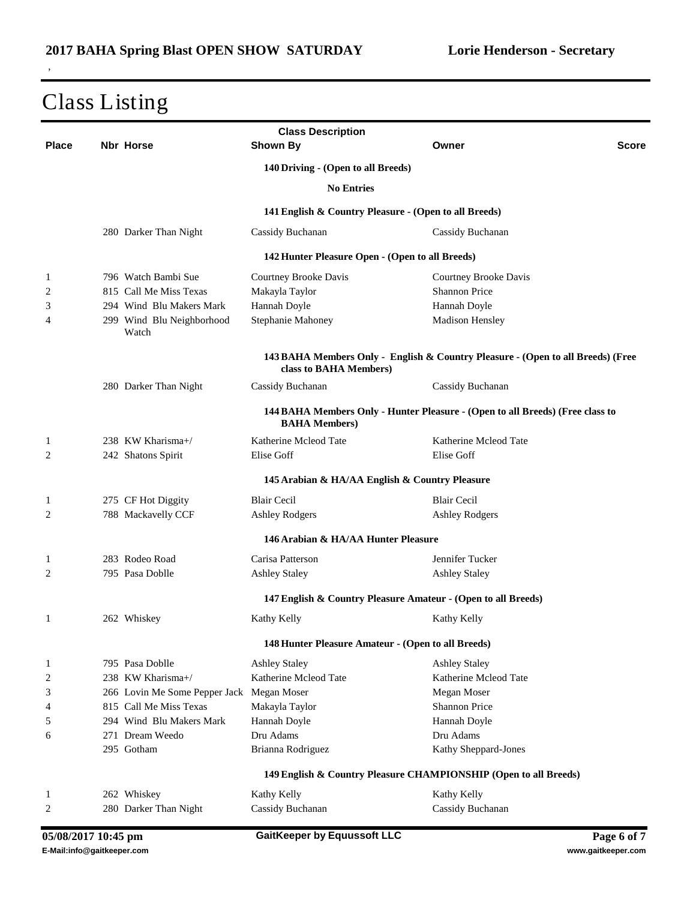| <b>Class Description</b> |  |                                           |                                                                  |                                                                                 |              |
|--------------------------|--|-------------------------------------------|------------------------------------------------------------------|---------------------------------------------------------------------------------|--------------|
| <b>Place</b>             |  | <b>Nbr Horse</b>                          | Shown By                                                         | Owner                                                                           | <b>Score</b> |
|                          |  |                                           | 140 Driving - (Open to all Breeds)                               |                                                                                 |              |
|                          |  |                                           | <b>No Entries</b>                                                |                                                                                 |              |
|                          |  |                                           | 141 English & Country Pleasure - (Open to all Breeds)            |                                                                                 |              |
|                          |  | 280 Darker Than Night                     | Cassidy Buchanan                                                 | Cassidy Buchanan                                                                |              |
|                          |  |                                           | 142 Hunter Pleasure Open - (Open to all Breeds)                  |                                                                                 |              |
| 1                        |  | 796 Watch Bambi Sue                       | Courtney Brooke Davis                                            | Courtney Brooke Davis                                                           |              |
| 2                        |  | 815 Call Me Miss Texas                    | Makayla Taylor                                                   | <b>Shannon Price</b>                                                            |              |
| 3                        |  | 294 Wind Blu Makers Mark                  | Hannah Doyle                                                     | Hannah Doyle                                                                    |              |
| 4                        |  | 299 Wind Blu Neighborhood<br>Watch        | Stephanie Mahoney                                                | Madison Hensley                                                                 |              |
|                          |  |                                           | class to BAHA Members)                                           | 143 BAHA Members Only - English & Country Pleasure - (Open to all Breeds) (Free |              |
|                          |  | 280 Darker Than Night                     | Cassidy Buchanan                                                 | Cassidy Buchanan                                                                |              |
|                          |  |                                           | <b>BAHA Members)</b>                                             | 144 BAHA Members Only - Hunter Pleasure - (Open to all Breeds) (Free class to   |              |
| 1                        |  | 238 KW Kharisma+/                         | Katherine Mcleod Tate                                            | Katherine Mcleod Tate                                                           |              |
| 2                        |  | 242 Shatons Spirit                        | Elise Goff                                                       | Elise Goff                                                                      |              |
|                          |  |                                           | 145 Arabian & HA/AA English & Country Pleasure                   |                                                                                 |              |
| 1                        |  | 275 CF Hot Diggity                        | <b>Blair Cecil</b>                                               | <b>Blair Cecil</b>                                                              |              |
| $\overline{2}$           |  | 788 Mackavelly CCF                        | <b>Ashley Rodgers</b>                                            | <b>Ashley Rodgers</b>                                                           |              |
|                          |  |                                           | 146 Arabian & HA/AA Hunter Pleasure                              |                                                                                 |              |
|                          |  | 283 Rodeo Road                            | Carisa Patterson                                                 | Jennifer Tucker                                                                 |              |
| 1<br>2                   |  | 795 Pasa Doblle                           | <b>Ashley Staley</b>                                             | <b>Ashley Staley</b>                                                            |              |
|                          |  |                                           |                                                                  |                                                                                 |              |
|                          |  |                                           | 147 English & Country Pleasure Amateur - (Open to all Breeds)    |                                                                                 |              |
| 1                        |  | 262 Whiskey                               | Kathy Kelly                                                      | Kathy Kelly                                                                     |              |
|                          |  |                                           | 148 Hunter Pleasure Amateur - (Open to all Breeds)               |                                                                                 |              |
| 1                        |  | 795 Pasa Doblle                           | <b>Ashley Staley</b>                                             | <b>Ashley Staley</b>                                                            |              |
| $\overline{c}$           |  | 238 KW Kharisma+/                         | Katherine Mcleod Tate                                            | Katherine Mcleod Tate                                                           |              |
| 3                        |  | 266 Lovin Me Some Pepper Jack Megan Moser |                                                                  | Megan Moser                                                                     |              |
| 4                        |  | 815 Call Me Miss Texas                    | Makayla Taylor                                                   | <b>Shannon Price</b>                                                            |              |
| 5                        |  | 294 Wind Blu Makers Mark                  | Hannah Doyle                                                     | Hannah Doyle                                                                    |              |
| 6                        |  | 271 Dream Weedo                           | Dru Adams                                                        | Dru Adams                                                                       |              |
|                          |  | 295 Gotham                                | Brianna Rodriguez                                                | Kathy Sheppard-Jones                                                            |              |
|                          |  |                                           | 149 English & Country Pleasure CHAMPIONSHIP (Open to all Breeds) |                                                                                 |              |
| 1                        |  | 262 Whiskey                               | Kathy Kelly                                                      | Kathy Kelly                                                                     |              |
| 2                        |  | 280 Darker Than Night                     | Cassidy Buchanan                                                 | Cassidy Buchanan                                                                |              |